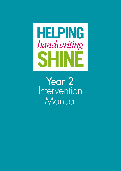

Year 2 Intervention Manual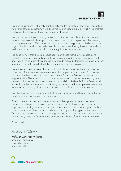## **UNIVERSITY OF LEEDS**

This booklet is the result of a collaboration between the Education Endowment Foundation, the SHINE schools consortium in Bradford, the Born in Bradford project (within the Bradford Institute of Health Research), and the University of Leeds.

The goal of this partnership is to give every child the best possible start in life. There is a large body of research showing that it is critical for a child to acquire good handwriting skills in primary school. The consequences of poor handwriting affect a child's mental and physical health as well as their educational outcome. Nevertheless, there is overwhelming evidence that shows a number of children struggle to acquire this crucial ability.

The good news is that there is a robust body of evidence that shows it is possible to support children with handwriting problems through targeted exercises – education really does work! The purpose of this booklet is to provide collated information on techniques that have been shown to be effective following rigorous scientific evaluation.

The evidence base has been informed by individuals recognised as being world experts in the area. The initial exercises were advised by the previous and current Chairs of the National Handwriting Association (Professor Anna Barnett, Dr Mellissa Prunty, and Dr Angela Webb). The scientific rationale was developed and assessed for suitability by the creators of the 'gold standard' assessment of motor skill in children (Professor David Sugden and Professor Sheila Henderson). In addition, sensorimotor and developmental psychology experts at the University of Leeds gave guidance on the latest science on learning.

This allows us the greatest confidence that we can really make a difference to the lives of the children who participate in this programme.

Scientific research shows us, however, that one of the biggest factors in a successful intervention is the person delivering the programme. I would therefore like to take this opportunity to thank you for supporting the children in your care and exhort you to really try to ensure that the children participate fully within the eight-week programme and beyond. There is no doubt that the greater the engagement of the child the better the outcome – and this can really make a difference to the education and health of the children in your care.

Yours faithfully,

## M Mon-Williams

Professor Mark Mon-Williams School of Psychology University of Leeds Leeds, LS2 9JT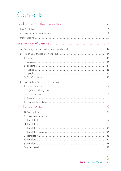## Contents

| 4               |    |
|-----------------|----|
|                 |    |
|                 |    |
| $\bigcirc$      |    |
|                 |    |
| $\mathcal{Z}$   |    |
|                 |    |
|                 |    |
|                 |    |
|                 | 29 |
|                 |    |
| $\vert B \vert$ |    |
|                 |    |
|                 |    |
| E)              |    |
| F)              |    |
|                 |    |
|                 |    |
| $\vert$         |    |
|                 |    |